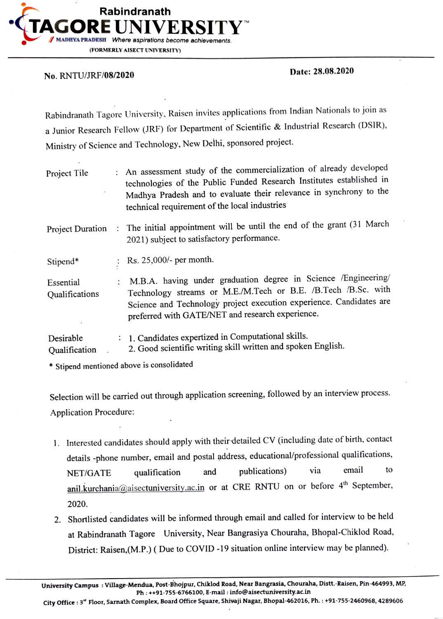

## Date: 28.08.2020 No. RNTU/JRF/08/2020

Rabindranath Tagore University, Raisen invites applications from Indian Nationals to join as a Junior Research Fellow (JRF) for Department of Scientific & Industrial Research (DSIR), Ministry of Science and Technology, New Delhi, sponsored project.

| Project Tile                | : An assessment study of the commercialization of already developed<br>technologies of the Public Funded Research Institutes established in<br>Madhya Pradesh and to evaluate their relevance in synchrony to the<br>technical requirement of the local industries |
|-----------------------------|--------------------------------------------------------------------------------------------------------------------------------------------------------------------------------------------------------------------------------------------------------------------|
| <b>Project Duration</b>     | : The initial appointment will be until the end of the grant (31 March<br>2021) subject to satisfactory performance.                                                                                                                                               |
| Stipend*                    | Rs. $25,000/$ - per month.                                                                                                                                                                                                                                         |
| Essential<br>Qualifications | : M.B.A. having under graduation degree in Science /Engineering/<br>Technology streams or M.E./M.Tech or B.E. /B.Tech /B.Sc. with<br>Science and Technology project execution experience. Candidates are<br>preferred with GATE/NET and research experience.       |
| Desirable<br>Qualification  | : 1. Candidates expertized in Computational skills.<br>2. Good scientific writing skill written and spoken English.                                                                                                                                                |

\* Stipend mentioned above is consolidated

Selection will be carried out through application screening, followed by an interview process. Application Procedure:

- 1. Interested candidates should apply with their detailed CV (including date of birth, contact details -phone number, email and postal address, educational/professional qualifications, NET/GATE qualification and publications) via email to anil.kurchania@aisectuniversity.ac.in or at CRE RNTU on or before 4<sup>th</sup> September, 2020.
- 2. Shortlisted candidates will be informed through email and called for interview to be held at Rabindranath Tagore University, Near Bangrasiya Chouraha, Bhopal-Chiklod Road, District: Raisen,(M.P.) ( Due to COVID -19 situation online interview may be planned).

City Office: 3<sup>"</sup> Floor, Sarnath Complex, Board Office Square, Shivaji Nagar, Bhopal-462016, Ph. : +91-755-2460968, 4289606